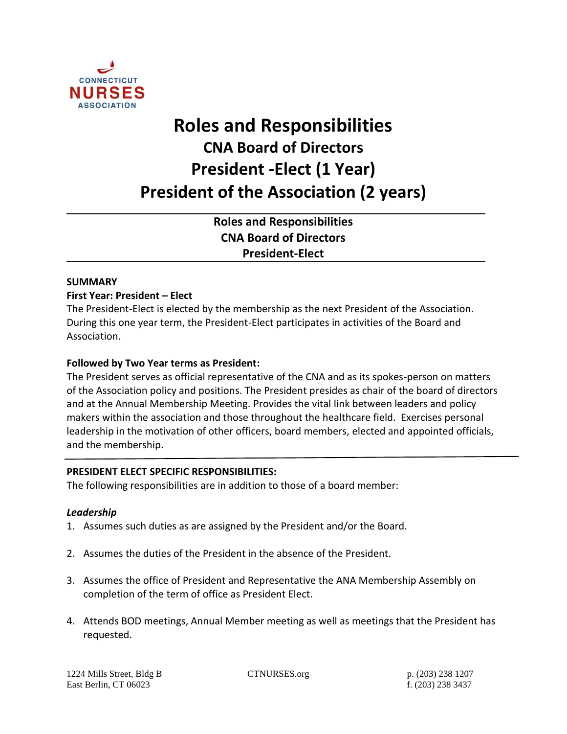

# **Roles and Responsibilities CNA Board of Directors President -Elect (1 Year) President of the Association (2 years)**

**Roles and Responsibilities CNA Board of Directors President-Elect** 

## **SUMMARY**

## **First Year: President – Elect**

The President-Elect is elected by the membership as the next President of the Association. During this one year term, the President-Elect participates in activities of the Board and Association.

## **Followed by Two Year terms as President:**

The President serves as official representative of the CNA and as its spokes-person on matters of the Association policy and positions. The President presides as chair of the board of directors and at the Annual Membership Meeting. Provides the vital link between leaders and policy makers within the association and those throughout the healthcare field. Exercises personal leadership in the motivation of other officers, board members, elected and appointed officials, and the membership.

## **PRESIDENT ELECT SPECIFIC RESPONSIBILITIES:**

The following responsibilities are in addition to those of a board member:

## *Leadership*

- 1. Assumes such duties as are assigned by the President and/or the Board.
- 2. Assumes the duties of the President in the absence of the President.
- 3. Assumes the office of President and Representative the ANA Membership Assembly on completion of the term of office as President Elect.
- 4. Attends BOD meetings, Annual Member meeting as well as meetings that the President has requested.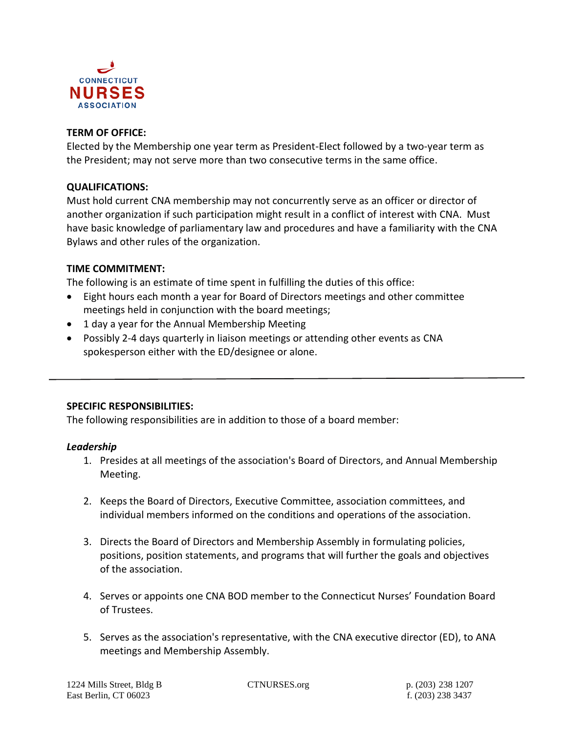

## **TERM OF OFFICE:**

Elected by the Membership one year term as President-Elect followed by a two-year term as the President; may not serve more than two consecutive terms in the same office.

## **QUALIFICATIONS:**

Must hold current CNA membership may not concurrently serve as an officer or director of another organization if such participation might result in a conflict of interest with CNA. Must have basic knowledge of parliamentary law and procedures and have a familiarity with the CNA Bylaws and other rules of the organization.

#### **TIME COMMITMENT:**

The following is an estimate of time spent in fulfilling the duties of this office:

- Eight hours each month a year for Board of Directors meetings and other committee meetings held in conjunction with the board meetings;
- 1 day a year for the Annual Membership Meeting
- Possibly 2-4 days quarterly in liaison meetings or attending other events as CNA spokesperson either with the ED/designee or alone.

## **SPECIFIC RESPONSIBILITIES:**

The following responsibilities are in addition to those of a board member:

#### *Leadership*

- 1. Presides at all meetings of the association's Board of Directors, and Annual Membership Meeting.
- 2. Keeps the Board of Directors, Executive Committee, association committees, and individual members informed on the conditions and operations of the association.
- 3. Directs the Board of Directors and Membership Assembly in formulating policies, positions, position statements, and programs that will further the goals and objectives of the association.
- 4. Serves or appoints one CNA BOD member to the Connecticut Nurses' Foundation Board of Trustees.
- 5. Serves as the association's representative, with the CNA executive director (ED), to ANA meetings and Membership Assembly.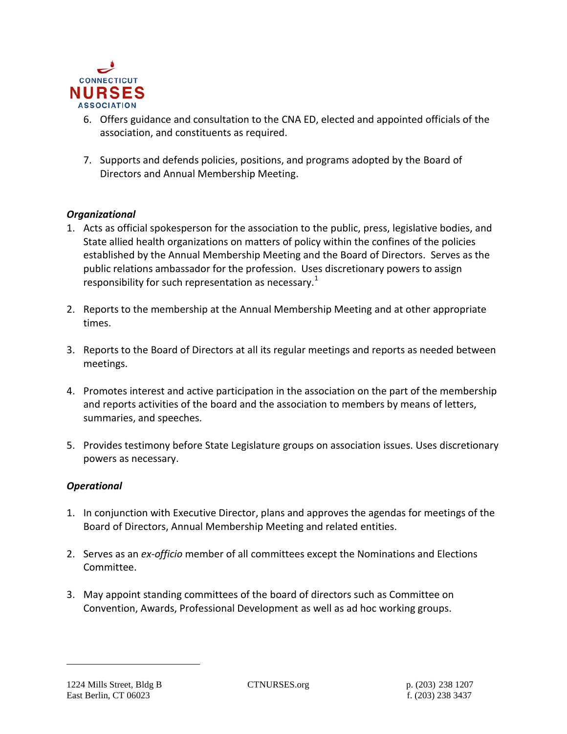

- 6. Offers guidance and consultation to the CNA ED, elected and appointed officials of the association, and constituents as required.
- 7. Supports and defends policies, positions, and programs adopted by the Board of Directors and Annual Membership Meeting.

## *Organizational*

- 1. Acts as official spokesperson for the association to the public, press, legislative bodies, and State allied health organizations on matters of policy within the confines of the policies established by the Annual Membership Meeting and the Board of Directors. Serves as the public relations ambassador for the profession. Uses discretionary powers to assign responsibility for such representation as necessary.<sup>1</sup>
- 2. Reports to the membership at the Annual Membership Meeting and at other appropriate times.
- 3. Reports to the Board of Directors at all its regular meetings and reports as needed between meetings.
- 4. Promotes interest and active participation in the association on the part of the membership and reports activities of the board and the association to members by means of letters, summaries, and speeches.
- 5. Provides testimony before State Legislature groups on association issues. Uses discretionary powers as necessary.

## *Operational*

- 1. In conjunction with Executive Director, plans and approves the agendas for meetings of the Board of Directors, Annual Membership Meeting and related entities.
- 2. Serves as an *ex-officio* member of all committees except the Nominations and Elections Committee.
- 3. May appoint standing committees of the board of directors such as Committee on Convention, Awards, Professional Development as well as ad hoc working groups.

l